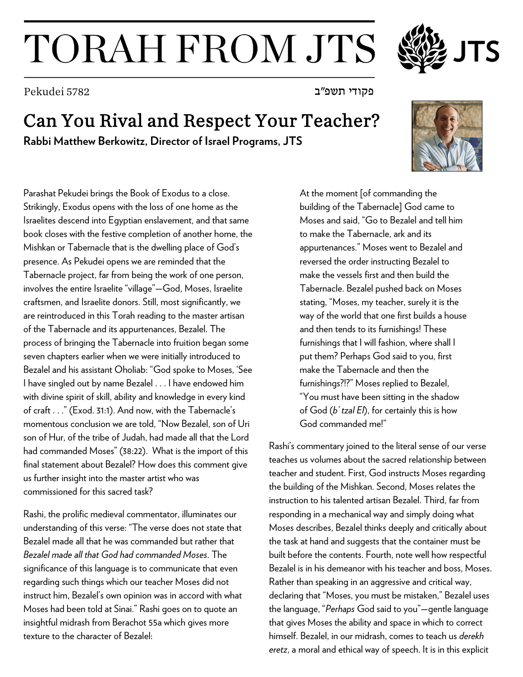## TORAH FROM JTS

פקודי תשפ"ב 5782 Pekudei

## Can You Rival and Respect Your Teacher?

**Rabbi Matthew Berkowitz, Director of Israel Programs, JTS**



Parashat Pekudei brings the Book of Exodus to a close. Strikingly, Exodus opens with the loss of one home as the Israelites descend into Egyptian enslavement, and that same book closes with the festive completion of another home, the Mishkan or Tabernacle that is the dwelling place of God's presence. As Pekudei opens we are reminded that the Tabernacle project, far from being the work of one person, involves the entire Israelite "village"—God, Moses, Israelite craftsmen, and Israelite donors. Still, most significantly, we are reintroduced in this Torah reading to the master artisan of the Tabernacle and its appurtenances, Bezalel. The process of bringing the Tabernacle into fruition began some seven chapters earlier when we were initially introduced to Bezalel and his assistant Oholiab: "God spoke to Moses, 'See I have singled out by name Bezalel . . . I have endowed him with divine spirit of skill, ability and knowledge in every kind of craft . . ." (Exod. 31:1). And now, with the Tabernacle's momentous conclusion we are told, "Now Bezalel, son of Uri son of Hur, of the tribe of Judah, had made all that the Lord had commanded Moses" (38:22). What is the import of this final statement about Bezalel? How does this comment give us further insight into the master artist who was commissioned for this sacred task?

Rashi, the prolific medieval commentator, illuminates our understanding of this verse: "The verse does not state that Bezalel made all that he was commanded but rather that *Bezalel made all that God had commanded Moses*. The significance of this language is to communicate that even regarding such things which our teacher Moses did not instruct him, Bezalel's own opinion was in accord with what Moses had been told at Sinai." Rashi goes on to quote an insightful midrash from Berachot 55a which gives more texture to the character of Bezalel:

At the moment [of commanding the building of the Tabernacle] God came to Moses and said, "Go to Bezalel and tell him to make the Tabernacle, ark and its appurtenances." Moses went to Bezalel and reversed the order instructing Bezalel to make the vessels first and then build the Tabernacle. Bezalel pushed back on Moses stating, "Moses, my teacher, surely it is the way of the world that one first builds a house and then tends to its furnishings! These furnishings that I will fashion, where shall I put them? Perhaps God said to you, first make the Tabernacle and then the furnishings?!?" Moses replied to Bezalel, "You must have been sitting in the shadow of God (*b' tzal El*), for certainly this is how God commanded me!"

Rashi's commentary joined to the literal sense of our verse teaches us volumes about the sacred relationship between teacher and student. First, God instructs Moses regarding the building of the Mishkan. Second, Moses relates the instruction to his talented artisan Bezalel. Third, far from responding in a mechanical way and simply doing what Moses describes, Bezalel thinks deeply and critically about the task at hand and suggests that the container must be built before the contents. Fourth, note well how respectful Bezalel is in his demeanor with his teacher and boss, Moses. Rather than speaking in an aggressive and critical way, declaring that "Moses, you must be mistaken," Bezalel uses the language, "*Perhaps* God said to you"—gentle language that gives Moses the ability and space in which to correct himself. Bezalel, in our midrash, comes to teach us *derekh eretz*, a moral and ethical way of speech. It is in this explicit